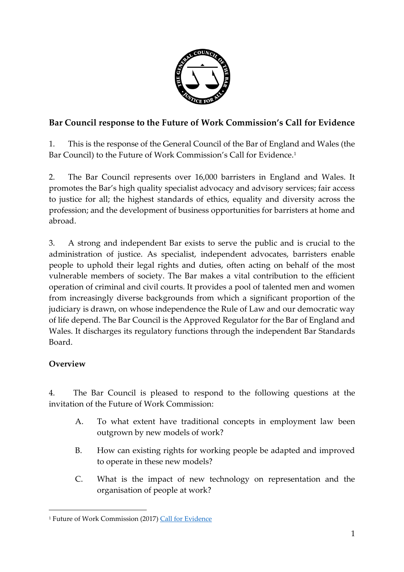

# **Bar Council response to the Future of Work Commission's Call for Evidence**

1. This is the response of the General Council of the Bar of England and Wales (the Bar Council) to the Future of Work Commission's Call for Evidence. 1

2. The Bar Council represents over 16,000 barristers in England and Wales. It promotes the Bar's high quality specialist advocacy and advisory services; fair access to justice for all; the highest standards of ethics, equality and diversity across the profession; and the development of business opportunities for barristers at home and abroad.

3. A strong and independent Bar exists to serve the public and is crucial to the administration of justice. As specialist, independent advocates, barristers enable people to uphold their legal rights and duties, often acting on behalf of the most vulnerable members of society. The Bar makes a vital contribution to the efficient operation of criminal and civil courts. It provides a pool of talented men and women from increasingly diverse backgrounds from which a significant proportion of the judiciary is drawn, on whose independence the Rule of Law and our democratic way of life depend. The Bar Council is the Approved Regulator for the Bar of England and Wales. It discharges its regulatory functions through the independent Bar Standards Board.

## **Overview**

 $\overline{a}$ 

4. The Bar Council is pleased to respond to the following questions at the invitation of the Future of Work Commission:

- A. To what extent have traditional concepts in employment law been outgrown by new models of work?
- B. How can existing rights for working people be adapted and improved to operate in these new models?
- C. What is the impact of new technology on representation and the organisation of people at work?

<sup>&</sup>lt;sup>1</sup> Future of Work Commission (2017) [Call for Evidence](https://d3n8a8pro7vhmx.cloudfront.net/campaigncountdown/pages/1165/attachments/original/1491210142/Future-Of-Work.pdf?1491210142)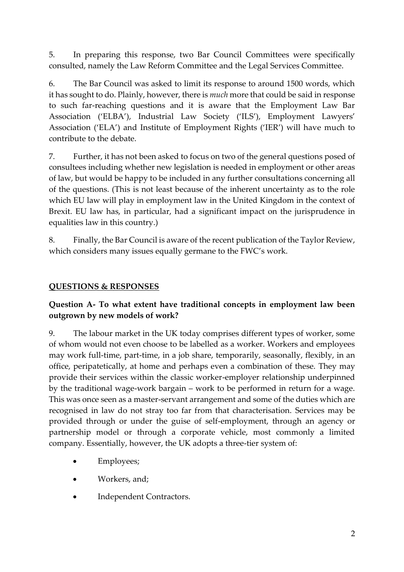5. In preparing this response, two Bar Council Committees were specifically consulted, namely the Law Reform Committee and the Legal Services Committee.

6. The Bar Council was asked to limit its response to around 1500 words, which it has sought to do. Plainly, however, there is *much* more that could be said in response to such far-reaching questions and it is aware that the Employment Law Bar Association ('ELBA'), Industrial Law Society ('ILS'), Employment Lawyers' Association ('ELA') and Institute of Employment Rights ('IER') will have much to contribute to the debate.

7. Further, it has not been asked to focus on two of the general questions posed of consultees including whether new legislation is needed in employment or other areas of law, but would be happy to be included in any further consultations concerning all of the questions. (This is not least because of the inherent uncertainty as to the role which EU law will play in employment law in the United Kingdom in the context of Brexit. EU law has, in particular, had a significant impact on the jurisprudence in equalities law in this country.)

8. Finally, the Bar Council is aware of the recent publication of the Taylor Review, which considers many issues equally germane to the FWC's work.

## **QUESTIONS & RESPONSES**

## **Question A- To what extent have traditional concepts in employment law been outgrown by new models of work?**

9. The labour market in the UK today comprises different types of worker, some of whom would not even choose to be labelled as a worker. Workers and employees may work full-time, part-time, in a job share, temporarily, seasonally, flexibly, in an office, peripatetically, at home and perhaps even a combination of these. They may provide their services within the classic worker-employer relationship underpinned by the traditional wage-work bargain – work to be performed in return for a wage. This was once seen as a master-servant arrangement and some of the duties which are recognised in law do not stray too far from that characterisation. Services may be provided through or under the guise of self-employment, through an agency or partnership model or through a corporate vehicle, most commonly a limited company. Essentially, however, the UK adopts a three-tier system of:

- Employees;
- Workers, and;
- Independent Contractors.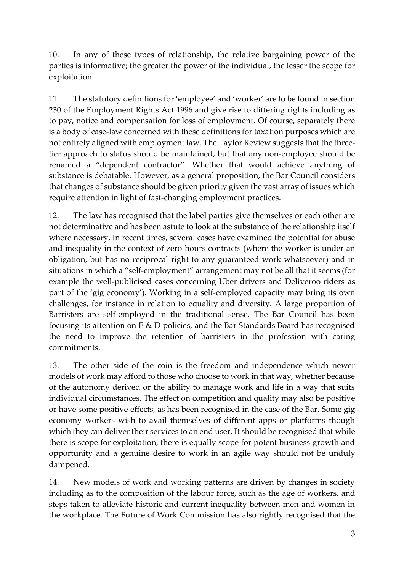10. In any of these types of relationship, the relative bargaining power of the parties is informative; the greater the power of the individual, the lesser the scope for exploitation.

11. The statutory definitions for 'employee' and 'worker' are to be found in section 230 of the Employment Rights Act 1996 and give rise to differing rights including as to pay, notice and compensation for loss of employment. Of course, separately there is a body of case-law concerned with these definitions for taxation purposes which are not entirely aligned with employment law. The Taylor Review suggests that the threetier approach to status should be maintained, but that any non-employee should be renamed a "dependent contractor". Whether that would achieve anything of substance is debatable. However, as a general proposition, the Bar Council considers that changes of substance should be given priority given the vast array of issues which require attention in light of fast-changing employment practices.

12. The law has recognised that the label parties give themselves or each other are not determinative and has been astute to look at the substance of the relationship itself where necessary. In recent times, several cases have examined the potential for abuse and inequality in the context of zero-hours contracts (where the worker is under an obligation, but has no reciprocal right to any guaranteed work whatsoever) and in situations in which a "self-employment" arrangement may not be all that it seems (for example the well-publicised cases concerning Uber drivers and Deliveroo riders as part of the 'gig economy'). Working in a self-employed capacity may bring its own challenges, for instance in relation to equality and diversity. A large proportion of Barristers are self-employed in the traditional sense. The Bar Council has been focusing its attention on E & D policies, and the Bar Standards Board has recognised the need to improve the retention of barristers in the profession with caring commitments.

13. The other side of the coin is the freedom and independence which newer models of work may afford to those who choose to work in that way, whether because of the autonomy derived or the ability to manage work and life in a way that suits individual circumstances. The effect on competition and quality may also be positive or have some positive effects, as has been recognised in the case of the Bar. Some gig economy workers wish to avail themselves of different apps or platforms though which they can deliver their services to an end user. It should be recognised that while there is scope for exploitation, there is equally scope for potent business growth and opportunity and a genuine desire to work in an agile way should not be unduly dampened.

14. New models of work and working patterns are driven by changes in society including as to the composition of the labour force, such as the age of workers, and steps taken to alleviate historic and current inequality between men and women in the workplace. The Future of Work Commission has also rightly recognised that the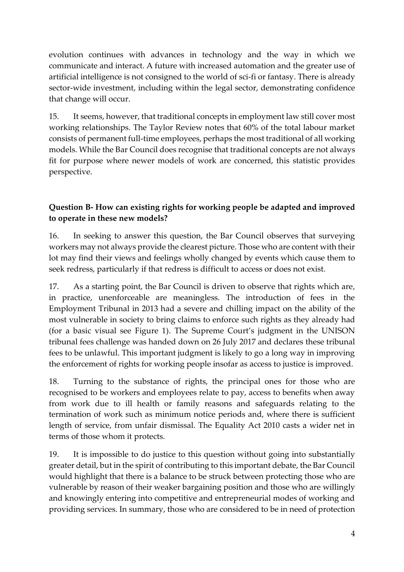evolution continues with advances in technology and the way in which we communicate and interact. A future with increased automation and the greater use of artificial intelligence is not consigned to the world of sci-fi or fantasy. There is already sector-wide investment, including within the legal sector, demonstrating confidence that change will occur.

15. It seems, however, that traditional concepts in employment law still cover most working relationships. The Taylor Review notes that 60% of the total labour market consists of permanent full-time employees, perhaps the most traditional of all working models. While the Bar Council does recognise that traditional concepts are not always fit for purpose where newer models of work are concerned, this statistic provides perspective.

## **Question B- How can existing rights for working people be adapted and improved to operate in these new models?**

16. In seeking to answer this question, the Bar Council observes that surveying workers may not always provide the clearest picture. Those who are content with their lot may find their views and feelings wholly changed by events which cause them to seek redress, particularly if that redress is difficult to access or does not exist.

17. As a starting point, the Bar Council is driven to observe that rights which are, in practice, unenforceable are meaningless. The introduction of fees in the Employment Tribunal in 2013 had a severe and chilling impact on the ability of the most vulnerable in society to bring claims to enforce such rights as they already had (for a basic visual see Figure 1). The Supreme Court's judgment in the UNISON tribunal fees challenge was handed down on 26 July 2017 and declares these tribunal fees to be unlawful. This important judgment is likely to go a long way in improving the enforcement of rights for working people insofar as access to justice is improved.

18. Turning to the substance of rights, the principal ones for those who are recognised to be workers and employees relate to pay, access to benefits when away from work due to ill health or family reasons and safeguards relating to the termination of work such as minimum notice periods and, where there is sufficient length of service, from unfair dismissal. The Equality Act 2010 casts a wider net in terms of those whom it protects.

19. It is impossible to do justice to this question without going into substantially greater detail, but in the spirit of contributing to this important debate, the Bar Council would highlight that there is a balance to be struck between protecting those who are vulnerable by reason of their weaker bargaining position and those who are willingly and knowingly entering into competitive and entrepreneurial modes of working and providing services. In summary, those who are considered to be in need of protection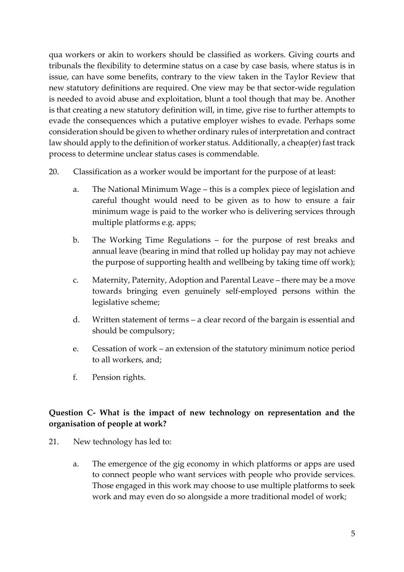qua workers or akin to workers should be classified as workers. Giving courts and tribunals the flexibility to determine status on a case by case basis, where status is in issue, can have some benefits, contrary to the view taken in the Taylor Review that new statutory definitions are required. One view may be that sector-wide regulation is needed to avoid abuse and exploitation, blunt a tool though that may be. Another is that creating a new statutory definition will, in time, give rise to further attempts to evade the consequences which a putative employer wishes to evade. Perhaps some consideration should be given to whether ordinary rules of interpretation and contract law should apply to the definition of worker status. Additionally, a cheap(er) fast track process to determine unclear status cases is commendable.

- 20. Classification as a worker would be important for the purpose of at least:
	- a. The National Minimum Wage this is a complex piece of legislation and careful thought would need to be given as to how to ensure a fair minimum wage is paid to the worker who is delivering services through multiple platforms e.g. apps;
	- b. The Working Time Regulations for the purpose of rest breaks and annual leave (bearing in mind that rolled up holiday pay may not achieve the purpose of supporting health and wellbeing by taking time off work);
	- c. Maternity, Paternity, Adoption and Parental Leave there may be a move towards bringing even genuinely self-employed persons within the legislative scheme;
	- d. Written statement of terms a clear record of the bargain is essential and should be compulsory;
	- e. Cessation of work an extension of the statutory minimum notice period to all workers, and;
	- f. Pension rights.

## **Question C- What is the impact of new technology on representation and the organisation of people at work?**

- 21. New technology has led to:
	- a. The emergence of the gig economy in which platforms or apps are used to connect people who want services with people who provide services. Those engaged in this work may choose to use multiple platforms to seek work and may even do so alongside a more traditional model of work;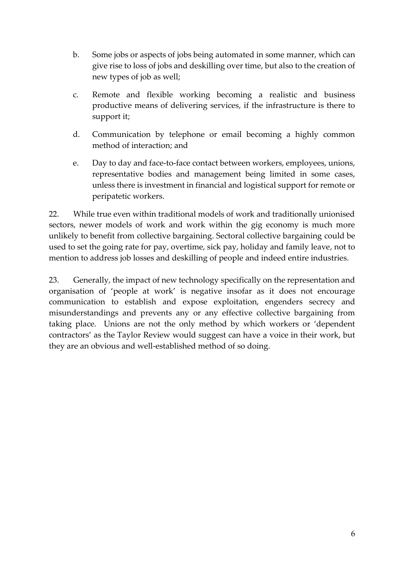- b. Some jobs or aspects of jobs being automated in some manner, which can give rise to loss of jobs and deskilling over time, but also to the creation of new types of job as well;
- c. Remote and flexible working becoming a realistic and business productive means of delivering services, if the infrastructure is there to support it;
- d. Communication by telephone or email becoming a highly common method of interaction; and
- e. Day to day and face-to-face contact between workers, employees, unions, representative bodies and management being limited in some cases, unless there is investment in financial and logistical support for remote or peripatetic workers.

22. While true even within traditional models of work and traditionally unionised sectors, newer models of work and work within the gig economy is much more unlikely to benefit from collective bargaining. Sectoral collective bargaining could be used to set the going rate for pay, overtime, sick pay, holiday and family leave, not to mention to address job losses and deskilling of people and indeed entire industries.

23. Generally, the impact of new technology specifically on the representation and organisation of 'people at work' is negative insofar as it does not encourage communication to establish and expose exploitation, engenders secrecy and misunderstandings and prevents any or any effective collective bargaining from taking place. Unions are not the only method by which workers or 'dependent contractors' as the Taylor Review would suggest can have a voice in their work, but they are an obvious and well-established method of so doing.